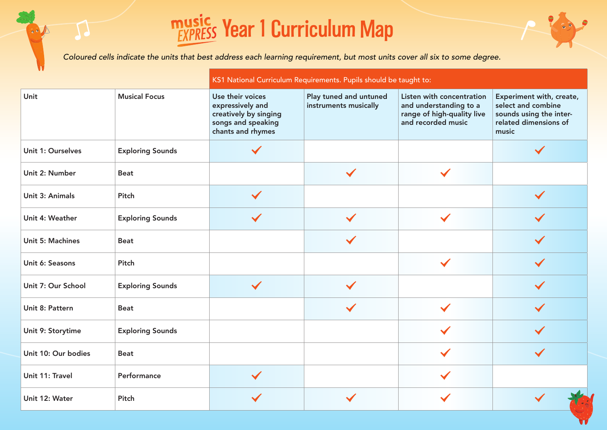## **music Vear 1 Curriculum Map**

**Read** 

|                     |                         | KS1 National Curriculum Requirements. Pupils should be taught to:                                        |                                                 |                                                                                                         |                                                                                                             |  |  |  |
|---------------------|-------------------------|----------------------------------------------------------------------------------------------------------|-------------------------------------------------|---------------------------------------------------------------------------------------------------------|-------------------------------------------------------------------------------------------------------------|--|--|--|
| Unit                | <b>Musical Focus</b>    | Use their voices<br>expressively and<br>creatively by singing<br>songs and speaking<br>chants and rhymes | Play tuned and untuned<br>instruments musically | Listen with concentration<br>and understanding to a<br>range of high-quality live<br>and recorded music | Experiment with, create,<br>select and combine<br>sounds using the inter-<br>related dimensions of<br>music |  |  |  |
| Unit 1: Ourselves   | <b>Exploring Sounds</b> |                                                                                                          |                                                 |                                                                                                         |                                                                                                             |  |  |  |
| Unit 2: Number      | <b>Beat</b>             |                                                                                                          | $\checkmark$                                    | $\checkmark$                                                                                            |                                                                                                             |  |  |  |
| Unit 3: Animals     | Pitch                   | $\checkmark$                                                                                             |                                                 |                                                                                                         | $\checkmark$                                                                                                |  |  |  |
| Unit 4: Weather     | <b>Exploring Sounds</b> | $\checkmark$                                                                                             | $\checkmark$                                    | $\checkmark$                                                                                            |                                                                                                             |  |  |  |
| Unit 5: Machines    | <b>Beat</b>             |                                                                                                          |                                                 |                                                                                                         |                                                                                                             |  |  |  |
| Unit 6: Seasons     | Pitch                   |                                                                                                          |                                                 | $\checkmark$                                                                                            |                                                                                                             |  |  |  |
| Unit 7: Our School  | <b>Exploring Sounds</b> | $\checkmark$                                                                                             |                                                 |                                                                                                         | $\checkmark$                                                                                                |  |  |  |
| Unit 8: Pattern     | <b>Beat</b>             |                                                                                                          |                                                 | $\checkmark$                                                                                            |                                                                                                             |  |  |  |
| Unit 9: Storytime   | <b>Exploring Sounds</b> |                                                                                                          |                                                 |                                                                                                         |                                                                                                             |  |  |  |
| Unit 10: Our bodies | <b>Beat</b>             |                                                                                                          |                                                 |                                                                                                         | $\checkmark$                                                                                                |  |  |  |
| Unit 11: Travel     | Performance             | $\checkmark$                                                                                             |                                                 |                                                                                                         |                                                                                                             |  |  |  |
| Unit 12: Water      | Pitch                   |                                                                                                          |                                                 |                                                                                                         |                                                                                                             |  |  |  |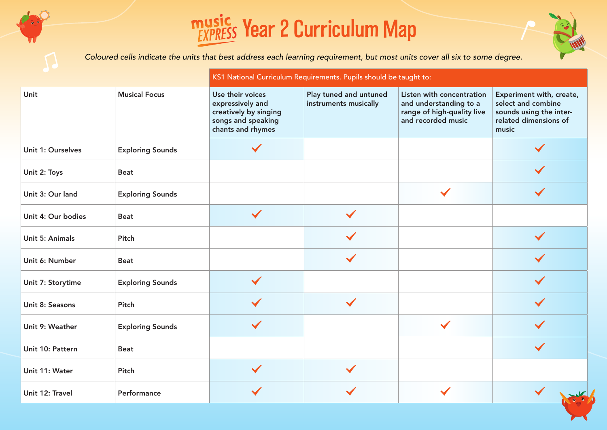## **<u> music</u>** Year 2 Curriculum Map



|                    |                         | KS1 National Curriculum Requirements. Pupils should be taught to:                                        |                                                 |                                                                                                         |                                                                                                             |  |  |  |
|--------------------|-------------------------|----------------------------------------------------------------------------------------------------------|-------------------------------------------------|---------------------------------------------------------------------------------------------------------|-------------------------------------------------------------------------------------------------------------|--|--|--|
| Unit               | <b>Musical Focus</b>    | Use their voices<br>expressively and<br>creatively by singing<br>songs and speaking<br>chants and rhymes | Play tuned and untuned<br>instruments musically | Listen with concentration<br>and understanding to a<br>range of high-quality live<br>and recorded music | Experiment with, create,<br>select and combine<br>sounds using the inter-<br>related dimensions of<br>music |  |  |  |
| Unit 1: Ourselves  | <b>Exploring Sounds</b> | $\checkmark$                                                                                             |                                                 |                                                                                                         | $\checkmark$                                                                                                |  |  |  |
| Unit 2: Toys       | <b>Beat</b>             |                                                                                                          |                                                 |                                                                                                         |                                                                                                             |  |  |  |
| Unit 3: Our land   | <b>Exploring Sounds</b> |                                                                                                          |                                                 | $\checkmark$                                                                                            | $\checkmark$                                                                                                |  |  |  |
| Unit 4: Our bodies | <b>Beat</b>             | $\checkmark$                                                                                             |                                                 |                                                                                                         |                                                                                                             |  |  |  |
| Unit 5: Animals    | Pitch                   |                                                                                                          |                                                 |                                                                                                         | $\checkmark$                                                                                                |  |  |  |
| Unit 6: Number     | <b>Beat</b>             |                                                                                                          | $\checkmark$                                    |                                                                                                         |                                                                                                             |  |  |  |
| Unit 7: Storytime  | <b>Exploring Sounds</b> | $\checkmark$                                                                                             |                                                 |                                                                                                         | $\checkmark$                                                                                                |  |  |  |
| Unit 8: Seasons    | Pitch                   | $\checkmark$                                                                                             | $\checkmark$                                    |                                                                                                         |                                                                                                             |  |  |  |
| Unit 9: Weather    | <b>Exploring Sounds</b> | $\checkmark$                                                                                             |                                                 | $\checkmark$                                                                                            | $\checkmark$                                                                                                |  |  |  |
| Unit 10: Pattern   | <b>Beat</b>             |                                                                                                          |                                                 |                                                                                                         | $\checkmark$                                                                                                |  |  |  |
| Unit 11: Water     | Pitch                   | $\checkmark$                                                                                             |                                                 |                                                                                                         |                                                                                                             |  |  |  |
| Unit 12: Travel    | Performance             |                                                                                                          |                                                 |                                                                                                         |                                                                                                             |  |  |  |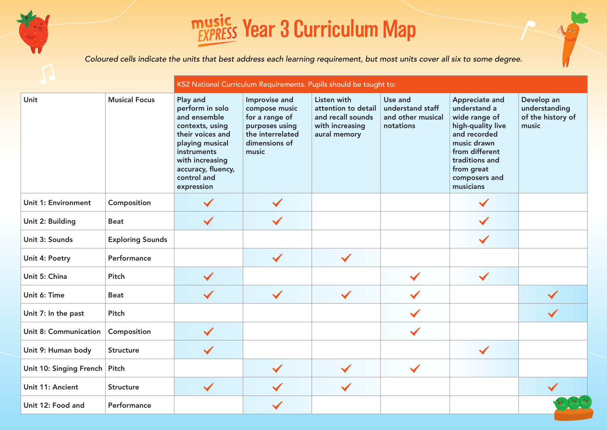

#### **<u>EXPRESS</u>** Year 3 Curriculum Map

|                                 |                         | KS2 National Curriculum Requirements. Pupils should be taught to:                                                                                                                          |                                                                                                                  |                                                                                            |                                                               |                                                                                                                                                                                     |                                                           |  |
|---------------------------------|-------------------------|--------------------------------------------------------------------------------------------------------------------------------------------------------------------------------------------|------------------------------------------------------------------------------------------------------------------|--------------------------------------------------------------------------------------------|---------------------------------------------------------------|-------------------------------------------------------------------------------------------------------------------------------------------------------------------------------------|-----------------------------------------------------------|--|
| Unit                            | <b>Musical Focus</b>    | Play and<br>perform in solo<br>and ensemble<br>contexts, using<br>their voices and<br>playing musical<br>instruments<br>with increasing<br>accuracy, fluency,<br>control and<br>expression | Improvise and<br>compose music<br>for a range of<br>purposes using<br>the interrelated<br>dimensions of<br>music | Listen with<br>attention to detail<br>and recall sounds<br>with increasing<br>aural memory | Use and<br>understand staff<br>and other musical<br>notations | Appreciate and<br>understand a<br>wide range of<br>high-quality live<br>and recorded<br>music drawn<br>from different<br>traditions and<br>from great<br>composers and<br>musicians | Develop an<br>understanding<br>of the history of<br>music |  |
| Unit 1: Environment             | Composition             | $\checkmark$                                                                                                                                                                               |                                                                                                                  |                                                                                            |                                                               | $\checkmark$                                                                                                                                                                        |                                                           |  |
| Unit 2: Building                | <b>Beat</b>             | $\checkmark$                                                                                                                                                                               |                                                                                                                  |                                                                                            |                                                               | $\checkmark$                                                                                                                                                                        |                                                           |  |
| Unit 3: Sounds                  | <b>Exploring Sounds</b> |                                                                                                                                                                                            |                                                                                                                  |                                                                                            |                                                               | $\checkmark$                                                                                                                                                                        |                                                           |  |
| Unit 4: Poetry                  | Performance             |                                                                                                                                                                                            | $\checkmark$                                                                                                     | $\checkmark$                                                                               |                                                               |                                                                                                                                                                                     |                                                           |  |
| Unit 5: China                   | Pitch                   | $\checkmark$                                                                                                                                                                               |                                                                                                                  |                                                                                            | $\checkmark$                                                  | $\checkmark$                                                                                                                                                                        |                                                           |  |
| Unit 6: Time                    | <b>Beat</b>             | $\checkmark$                                                                                                                                                                               | $\checkmark$                                                                                                     | $\checkmark$                                                                               |                                                               |                                                                                                                                                                                     | $\checkmark$                                              |  |
| Unit 7: In the past             | Pitch                   |                                                                                                                                                                                            |                                                                                                                  |                                                                                            | $\checkmark$                                                  |                                                                                                                                                                                     | $\checkmark$                                              |  |
| Unit 8: Communication           | Composition             | $\checkmark$                                                                                                                                                                               |                                                                                                                  |                                                                                            | $\checkmark$                                                  |                                                                                                                                                                                     |                                                           |  |
| Unit 9: Human body              | <b>Structure</b>        | $\checkmark$                                                                                                                                                                               |                                                                                                                  |                                                                                            |                                                               | $\checkmark$                                                                                                                                                                        |                                                           |  |
| Unit 10: Singing French   Pitch |                         |                                                                                                                                                                                            | $\checkmark$                                                                                                     | $\checkmark$                                                                               | $\checkmark$                                                  |                                                                                                                                                                                     |                                                           |  |
| Unit 11: Ancient                | <b>Structure</b>        | $\checkmark$                                                                                                                                                                               |                                                                                                                  | $\checkmark$                                                                               |                                                               |                                                                                                                                                                                     |                                                           |  |
| Unit 12: Food and               | Performance             |                                                                                                                                                                                            |                                                                                                                  |                                                                                            |                                                               |                                                                                                                                                                                     |                                                           |  |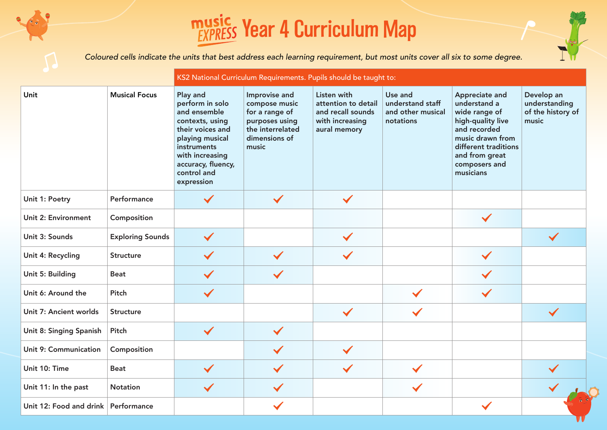## **<u>EXPRESS</u>** Year 4 Curriculum Map

|                                     |                         | KS2 National Curriculum Requirements. Pupils should be taught to:                                                                                                                          |                                                                                                                  |                                                                                            |                                                               |                                                                                                                                                                                  |                                                           |  |
|-------------------------------------|-------------------------|--------------------------------------------------------------------------------------------------------------------------------------------------------------------------------------------|------------------------------------------------------------------------------------------------------------------|--------------------------------------------------------------------------------------------|---------------------------------------------------------------|----------------------------------------------------------------------------------------------------------------------------------------------------------------------------------|-----------------------------------------------------------|--|
| Unit                                | <b>Musical Focus</b>    | Play and<br>perform in solo<br>and ensemble<br>contexts, using<br>their voices and<br>playing musical<br>instruments<br>with increasing<br>accuracy, fluency,<br>control and<br>expression | Improvise and<br>compose music<br>for a range of<br>purposes using<br>the interrelated<br>dimensions of<br>music | Listen with<br>attention to detail<br>and recall sounds<br>with increasing<br>aural memory | Use and<br>understand staff<br>and other musical<br>notations | Appreciate and<br>understand a<br>wide range of<br>high-quality live<br>and recorded<br>music drawn from<br>different traditions<br>and from great<br>composers and<br>musicians | Develop an<br>understanding<br>of the history of<br>music |  |
| Unit 1: Poetry                      | Performance             | $\checkmark$                                                                                                                                                                               | $\checkmark$                                                                                                     | $\checkmark$                                                                               |                                                               |                                                                                                                                                                                  |                                                           |  |
| Unit 2: Environment                 | Composition             |                                                                                                                                                                                            |                                                                                                                  |                                                                                            |                                                               | $\checkmark$                                                                                                                                                                     |                                                           |  |
| Unit 3: Sounds                      | <b>Exploring Sounds</b> | $\checkmark$                                                                                                                                                                               |                                                                                                                  | $\checkmark$                                                                               |                                                               |                                                                                                                                                                                  | $\checkmark$                                              |  |
| Unit 4: Recycling                   | <b>Structure</b>        |                                                                                                                                                                                            |                                                                                                                  | $\checkmark$                                                                               |                                                               | $\checkmark$                                                                                                                                                                     |                                                           |  |
| Unit 5: Building                    | <b>Beat</b>             | $\checkmark$                                                                                                                                                                               |                                                                                                                  |                                                                                            |                                                               |                                                                                                                                                                                  |                                                           |  |
| Unit 6: Around the                  | Pitch                   | $\checkmark$                                                                                                                                                                               |                                                                                                                  |                                                                                            | $\checkmark$                                                  | $\checkmark$                                                                                                                                                                     |                                                           |  |
| Unit 7: Ancient worlds              | <b>Structure</b>        |                                                                                                                                                                                            |                                                                                                                  | $\checkmark$                                                                               | $\checkmark$                                                  |                                                                                                                                                                                  | $\checkmark$                                              |  |
| Unit 8: Singing Spanish             | Pitch                   | $\checkmark$                                                                                                                                                                               | $\checkmark$                                                                                                     |                                                                                            |                                                               |                                                                                                                                                                                  |                                                           |  |
| Unit 9: Communication               | Composition             |                                                                                                                                                                                            |                                                                                                                  | $\checkmark$                                                                               |                                                               |                                                                                                                                                                                  |                                                           |  |
| Unit 10: Time                       | <b>Beat</b>             | $\checkmark$                                                                                                                                                                               | $\checkmark$                                                                                                     | $\checkmark$                                                                               | $\checkmark$                                                  |                                                                                                                                                                                  |                                                           |  |
| Unit 11: In the past                | <b>Notation</b>         | $\checkmark$                                                                                                                                                                               | $\checkmark$                                                                                                     |                                                                                            | $\checkmark$                                                  |                                                                                                                                                                                  |                                                           |  |
| Unit 12: Food and drink Performance |                         |                                                                                                                                                                                            | $\checkmark$                                                                                                     |                                                                                            |                                                               |                                                                                                                                                                                  |                                                           |  |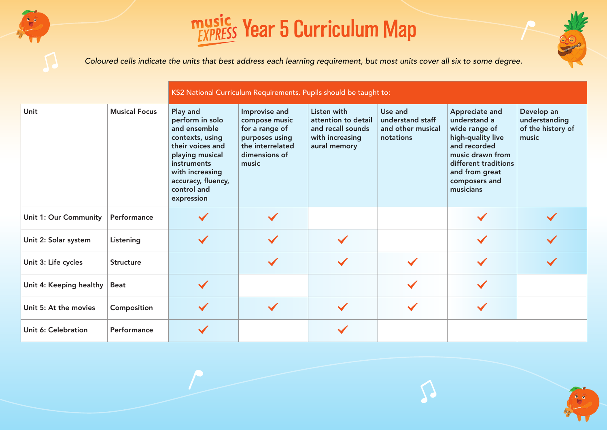



|                         |                      | KS2 National Curriculum Requirements. Pupils should be taught to:                                                                                                                          |                                                                                                                  |                                                                                            |                                                               |                                                                                                                                                                                  |                                                           |  |  |
|-------------------------|----------------------|--------------------------------------------------------------------------------------------------------------------------------------------------------------------------------------------|------------------------------------------------------------------------------------------------------------------|--------------------------------------------------------------------------------------------|---------------------------------------------------------------|----------------------------------------------------------------------------------------------------------------------------------------------------------------------------------|-----------------------------------------------------------|--|--|
| Unit                    | <b>Musical Focus</b> | Play and<br>perform in solo<br>and ensemble<br>contexts, using<br>their voices and<br>playing musical<br>instruments<br>with increasing<br>accuracy, fluency,<br>control and<br>expression | Improvise and<br>compose music<br>for a range of<br>purposes using<br>the interrelated<br>dimensions of<br>music | Listen with<br>attention to detail<br>and recall sounds<br>with increasing<br>aural memory | Use and<br>understand staff<br>and other musical<br>notations | Appreciate and<br>understand a<br>wide range of<br>high-quality live<br>and recorded<br>music drawn from<br>different traditions<br>and from great<br>composers and<br>musicians | Develop an<br>understanding<br>of the history of<br>music |  |  |
| Unit 1: Our Community   | Performance          |                                                                                                                                                                                            |                                                                                                                  |                                                                                            |                                                               |                                                                                                                                                                                  |                                                           |  |  |
| Unit 2: Solar system    | Listening            | $\checkmark$                                                                                                                                                                               |                                                                                                                  | $\checkmark$                                                                               |                                                               |                                                                                                                                                                                  |                                                           |  |  |
| Unit 3: Life cycles     | <b>Structure</b>     |                                                                                                                                                                                            |                                                                                                                  |                                                                                            |                                                               |                                                                                                                                                                                  |                                                           |  |  |
| Unit 4: Keeping healthy | <b>Beat</b>          | $\checkmark$                                                                                                                                                                               |                                                                                                                  |                                                                                            |                                                               |                                                                                                                                                                                  |                                                           |  |  |
| Unit 5: At the movies   | Composition          | $\checkmark$                                                                                                                                                                               | $\checkmark$                                                                                                     | $\checkmark$                                                                               |                                                               |                                                                                                                                                                                  |                                                           |  |  |
| Unit 6: Celebration     | Performance          | $\checkmark$                                                                                                                                                                               |                                                                                                                  |                                                                                            |                                                               |                                                                                                                                                                                  |                                                           |  |  |